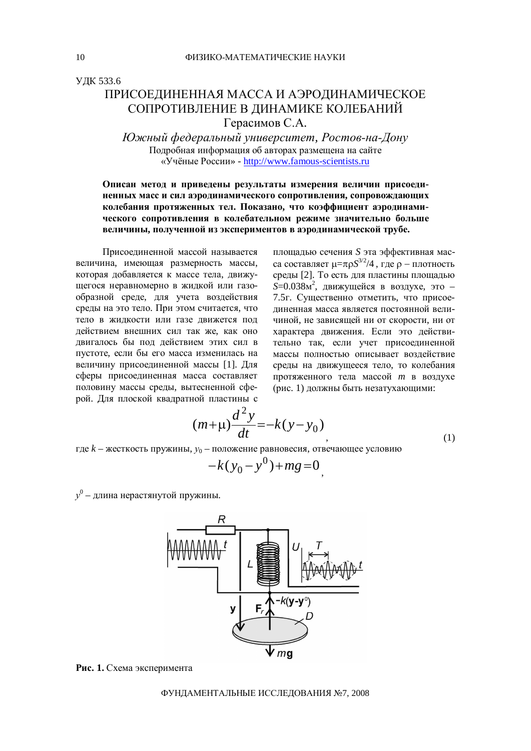УДК 533.6

## ПРИСОЕЛИНЕННАЯ МАССА И АЭРОЛИНАМИЧЕСКОЕ СОПРОТИВЛЕНИЕ В ДИНАМИКЕ КОЛЕБАНИЙ Герасимов С.А.

*Южный федеральный университет, Ростов-на-Дону* Подробная информация об авторах размещена на сайте ©ɍɱɺɧɵɟɊɨɫɫɢɢ» - <http://www.famous-scientists.ru>

## Описан метод и приведены результаты измерения величин присоеди-Ненных масс и сил аэродинамического сопротивления, сопровождающих колебания протяженных тел. Показано, что коэффициент аэродинамического сопротивления в колебательном режиме значительно больше **величины**, полученной из экспериментов в аэродинамической трубе.

Присоелиненной массой называется величина, имеющая размерность массы, которая добавляется к массе тела, движущегося неравномерно в жидкой или газообразной среде, для учета воздействия срелы на это тело. При этом считается, что тело в жилкости или газе лвижется под действием внешних сил так же, как оно двигалось бы под действием этих сил в пустоте, если бы его масса изменилась на величину присоединенной массы [1]. Для сферы присоединенная масса составляет половину массы среды, вытесненной сферой. Для плоской квадратной пластины с

площадью сечения *S* эта эффективная масса составляет  $\mu = \pi \rho S^{3/2}/4$ , где  $\rho$  – плотность среды [2]. То есть для пластины площадью *S*=0.038м<sup>2</sup>, движущейся в воздухе, это -7.5г. Существенно отметить, что присоединенная масса является постоянной величиной, не зависяшей ни от скорости, ни от характера движения. Если это действительно так, если учет присоединенной массы полностью описывает воздействие среды на движущееся тело, то колебания протяженного тела массой *m* в воздухе (рис. 1) должны быть незатухающими:

 $,$  (1)

$$
(m+\mu)\frac{d^2y}{dt} = -k(y-y_0)
$$

где *k* – жесткость пружины,  $y_0$  – положение равновесия, отвечающее условию

$$
-k(y_0 - y^0) + mg = 0
$$

 $y^0$  – длина нерастянутой пружины.



Рис. 1. Схема эксперимента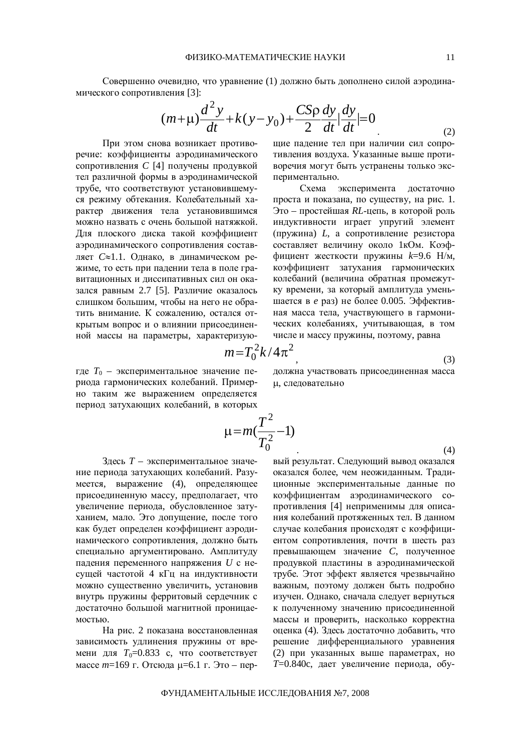Совершенно очевидно, что уравнение (1) должно быть дополнено силой аэродинамического сопротивления [3]:

$$
(m+\mu)\frac{d^2y}{dt} + k(y-y_0) + \frac{C\text{Sp }dy}{2} \frac{dy}{dt} = 0
$$
 (2)

При этом снова возникает противоречие: коэффициенты аэродинамического сопротивления С [4] получены продувкой тел различной формы в аэродинамической трубе, что соответствуют установившемуся режиму обтекания. Колебательный характер движения тела установившимся можно назвать с очень большой натяжкой. Для плоского диска такой коэффициент аэродинамического сопротивления составляет *C*≈1.1. Однако, в динамическом режиме, то есть при падении тела в поле гравитационных и диссипативных сил он оказался равным 2.7 [5]. Различие оказалось слишком большим, чтобы на него не обратить внимание. К сожалению, остался открытым вопрос и о влиянии присоединенной массы на параметры, характеризующие падение тел при наличии сил сопротивления воздуха. Указанные выше противоречия могут быть устранены только экспериментально.

Схема эксперимента достаточно проста и показана, по существу, на рис. 1. Это – простейшая RL-цепь, в которой роль индуктивности играет упругий элемент (пружина) *L*, а сопротивление резистора составляет величину около 1кОм. Коэффициент жесткости пружины  $k=9.6$  Н/м, коэффициент затухания гармонических колебаний (величина обратная промежутку времени, за который амплитуда уменьшается в *е* раз) не более 0.005. Эффективная масса тела, участвующего в гармонических колебаниях, учитывающая, в том числе и массу пружины, поэтому, равна

$$
m = T_0^2 k / 4\pi^2 \tag{3}
$$

где  $T_0$  – экспериментальное значение периода гармонических колебаний. Примерно таким же выражением определяется период затухающих колебаний, в которых должна участвовать присоединенная масса µ, следовательно

$$
\mu = m(\frac{T^2}{T_0^2} - 1)
$$

Здесь *Т* – экспериментальное значение периода затухающих колебаний. Разумеется, выражение (4), определяющее присоединенную массу, предполагает, что увеличение периода, обусловленное затуханием, мало. Это допущение, после того как будет определен коэффициент аэродинамического сопротивления, должно быть специально аргументировано. Амплитуду падения переменного напряжения *U* с несущей частотой 4 кГц на индуктивности можно существенно увеличить, установив внутрь пружины ферритовый сердечник с достаточно большой магнитной проницаемостью.

На рис. 2 показана восстановленная зависимость удлинения пружины от времени для  $T_0$ =0.833 с, что соответствует массе *m*=169 г. Отсюда µ=6.1 г. Это – пер-

 $\hspace{2.6cm} (4)$ вый результат. Следующий вывод оказался оказался более, чем неожиданным. Традиционные экспериментальные данные по коэффициентам аэродинамического сопротивления [4] неприменимы для описания колебаний протяженных тел. В данном случае колебания происходят с коэффициентом сопротивления, почти в шесть раз превышающем значение *C*, полученное продувкой пластины в аэродинамической трубе. Этот эффект является чрезвычайно важным, поэтому должен быть подробно изучен. Однако, сначала следует вернуться к полученному значению присоединенной массы и проверить, насколько корректна оценка (4). Здесь достаточно добавить, что решение дифференциального уравнения (2) при указанных выше параметрах, но *T*=0.840c, дает увеличение периода, обу-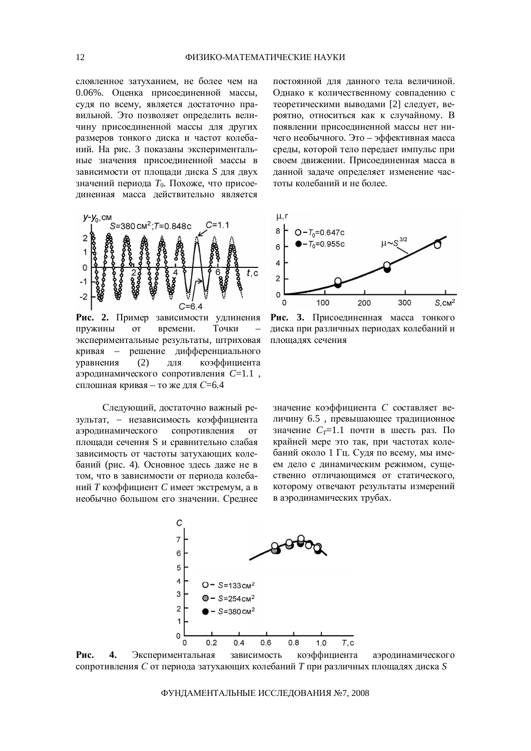словленное затуханием, не более чем на 0.06%. Оценка присоединенной массы, суля по всему, является лостаточно правильной. Это позволяет определить величину присоединенной массы для других размеров тонкого диска и частот колебаний. На рис. 3 показаны экспериментальные значения присоединенной массы в зависимости от площади диска *S* для двух значений периода *Т*<sub>0</sub>. Похоже, что присоединенная масса действительно является



Рис. 2. Пример зависимости удлинения пружины от времени. Точки экспериментальные результаты, штриховая кривая – решение дифференциального уравнения (2) для коэффициента аэродинамического сопротивления  $C=1.1$ , сплошная кривая – то же для *С*=6.4

Следующий, достаточно важный результат, - независимость коэффициента аэродинамического сопротивления от площади сечения S и сравнительно слабая зависимость от частоты затухающих колебаний (рис. 4). Основное здесь даже не в том, что в зависимости от периода колебаний *Т* коэффициент *С* имеет экстремум, а в необычно большом его значении. Среднее постоянной для данного тела величиной. Однако к количественному совпадению с теоретическими выводами [2] следует, вероятно, относиться как к случайному. В появлении присоединенной массы нет ничего необычного. Это – эффективная масса среды, которой тело передает импульс при своем движении. Присоединенная масса в данной задаче определяет изменение частоты колебаний и не более.



Рис. 3. Присоединенная масса тонкого диска при различных периодах колебаний и площадях сечения

значение коэффициента С составляет величину 6.5, превышающее традиционное значение  $C_T$ =1.1 почти в шесть раз. По крайней мере это так, при частотах колебаний около 1 Гц. Судя по всему, мы имеем дело с динамическим режимом, существенно отличающимся от статического. которому отвечают результаты измерений в аэродинамических трубах.



Рис. 4. Экспериментальная зависимость коэффициента аэродинамического сопротивления С от периода затухающих колебаний Т при различных площадях диска S